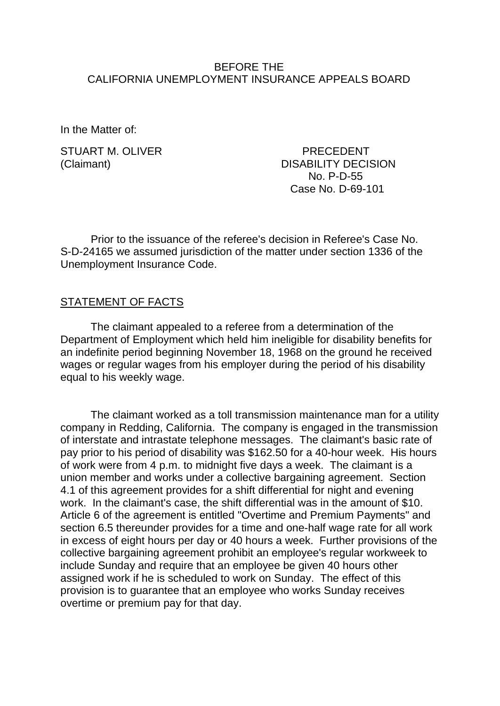### BEFORE THE CALIFORNIA UNEMPLOYMENT INSURANCE APPEALS BOARD

In the Matter of:

STUART M. OLIVER PRECEDENT

(Claimant) DISABILITY DECISION No. P-D-55 Case No. D-69-101

Prior to the issuance of the referee's decision in Referee's Case No. S-D-24165 we assumed jurisdiction of the matter under section 1336 of the Unemployment Insurance Code.

### STATEMENT OF FACTS

The claimant appealed to a referee from a determination of the Department of Employment which held him ineligible for disability benefits for an indefinite period beginning November 18, 1968 on the ground he received wages or regular wages from his employer during the period of his disability equal to his weekly wage.

The claimant worked as a toll transmission maintenance man for a utility company in Redding, California. The company is engaged in the transmission of interstate and intrastate telephone messages. The claimant's basic rate of pay prior to his period of disability was \$162.50 for a 40-hour week. His hours of work were from 4 p.m. to midnight five days a week. The claimant is a union member and works under a collective bargaining agreement. Section 4.1 of this agreement provides for a shift differential for night and evening work. In the claimant's case, the shift differential was in the amount of \$10. Article 6 of the agreement is entitled "Overtime and Premium Payments" and section 6.5 thereunder provides for a time and one-half wage rate for all work in excess of eight hours per day or 40 hours a week. Further provisions of the collective bargaining agreement prohibit an employee's regular workweek to include Sunday and require that an employee be given 40 hours other assigned work if he is scheduled to work on Sunday. The effect of this provision is to guarantee that an employee who works Sunday receives overtime or premium pay for that day.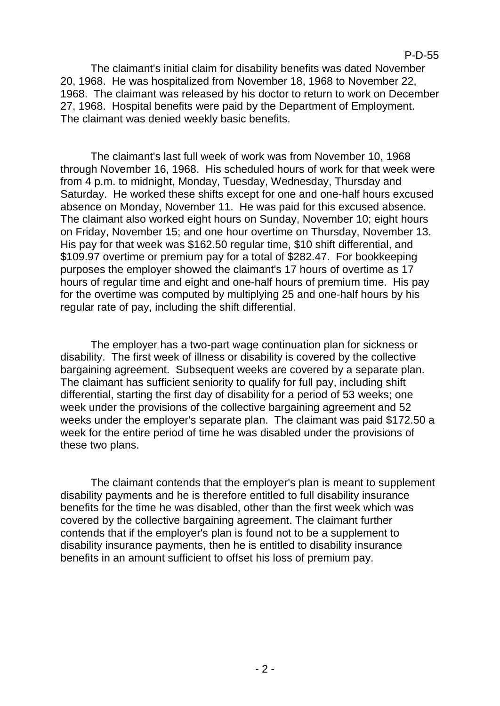The claimant's initial claim for disability benefits was dated November 20, 1968. He was hospitalized from November 18, 1968 to November 22, 1968. The claimant was released by his doctor to return to work on December 27, 1968. Hospital benefits were paid by the Department of Employment. The claimant was denied weekly basic benefits.

The claimant's last full week of work was from November 10, 1968 through November 16, 1968. His scheduled hours of work for that week were from 4 p.m. to midnight, Monday, Tuesday, Wednesday, Thursday and Saturday. He worked these shifts except for one and one-half hours excused absence on Monday, November 11. He was paid for this excused absence. The claimant also worked eight hours on Sunday, November 10; eight hours on Friday, November 15; and one hour overtime on Thursday, November 13. His pay for that week was \$162.50 regular time, \$10 shift differential, and \$109.97 overtime or premium pay for a total of \$282.47. For bookkeeping purposes the employer showed the claimant's 17 hours of overtime as 17 hours of regular time and eight and one-half hours of premium time. His pay for the overtime was computed by multiplying 25 and one-half hours by his regular rate of pay, including the shift differential.

The employer has a two-part wage continuation plan for sickness or disability. The first week of illness or disability is covered by the collective bargaining agreement. Subsequent weeks are covered by a separate plan. The claimant has sufficient seniority to qualify for full pay, including shift differential, starting the first day of disability for a period of 53 weeks; one week under the provisions of the collective bargaining agreement and 52 weeks under the employer's separate plan. The claimant was paid \$172.50 a week for the entire period of time he was disabled under the provisions of these two plans.

The claimant contends that the employer's plan is meant to supplement disability payments and he is therefore entitled to full disability insurance benefits for the time he was disabled, other than the first week which was covered by the collective bargaining agreement. The claimant further contends that if the employer's plan is found not to be a supplement to disability insurance payments, then he is entitled to disability insurance benefits in an amount sufficient to offset his loss of premium pay.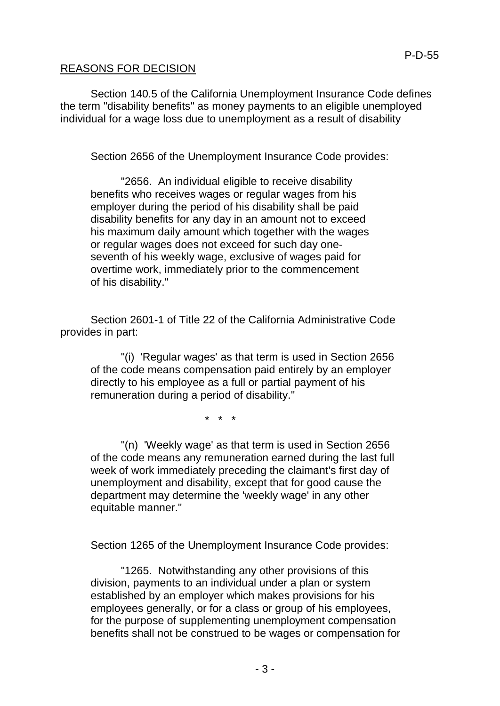# REASONS FOR DECISION

Section 140.5 of the California Unemployment Insurance Code defines the term "disability benefits" as money payments to an eligible unemployed individual for a wage loss due to unemployment as a result of disability

Section 2656 of the Unemployment Insurance Code provides:

"2656. An individual eligible to receive disability benefits who receives wages or regular wages from his employer during the period of his disability shall be paid disability benefits for any day in an amount not to exceed his maximum daily amount which together with the wages or regular wages does not exceed for such day oneseventh of his weekly wage, exclusive of wages paid for overtime work, immediately prior to the commencement of his disability."

Section 2601-1 of Title 22 of the California Administrative Code provides in part:

"(i) 'Regular wages' as that term is used in Section 2656 of the code means compensation paid entirely by an employer directly to his employee as a full or partial payment of his remuneration during a period of disability."

\* \* \*

"(n) 'Weekly wage' as that term is used in Section 2656 of the code means any remuneration earned during the last full week of work immediately preceding the claimant's first day of unemployment and disability, except that for good cause the department may determine the 'weekly wage' in any other equitable manner."

Section 1265 of the Unemployment Insurance Code provides:

"1265. Notwithstanding any other provisions of this division, payments to an individual under a plan or system established by an employer which makes provisions for his employees generally, or for a class or group of his employees, for the purpose of supplementing unemployment compensation benefits shall not be construed to be wages or compensation for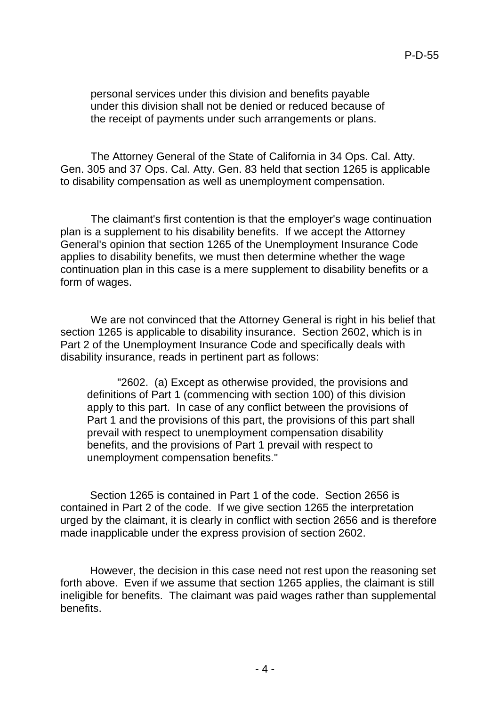personal services under this division and benefits payable under this division shall not be denied or reduced because of the receipt of payments under such arrangements or plans.

The Attorney General of the State of California in 34 Ops. Cal. Atty. Gen. 305 and 37 Ops. Cal. Atty. Gen. 83 held that section 1265 is applicable to disability compensation as well as unemployment compensation.

The claimant's first contention is that the employer's wage continuation plan is a supplement to his disability benefits. If we accept the Attorney General's opinion that section 1265 of the Unemployment Insurance Code applies to disability benefits, we must then determine whether the wage continuation plan in this case is a mere supplement to disability benefits or a form of wages.

We are not convinced that the Attorney General is right in his belief that section 1265 is applicable to disability insurance. Section 2602, which is in Part 2 of the Unemployment Insurance Code and specifically deals with disability insurance, reads in pertinent part as follows:

"2602. (a) Except as otherwise provided, the provisions and definitions of Part 1 (commencing with section 100) of this division apply to this part. In case of any conflict between the provisions of Part 1 and the provisions of this part, the provisions of this part shall prevail with respect to unemployment compensation disability benefits, and the provisions of Part 1 prevail with respect to unemployment compensation benefits."

Section 1265 is contained in Part 1 of the code. Section 2656 is contained in Part 2 of the code. If we give section 1265 the interpretation urged by the claimant, it is clearly in conflict with section 2656 and is therefore made inapplicable under the express provision of section 2602.

However, the decision in this case need not rest upon the reasoning set forth above. Even if we assume that section 1265 applies, the claimant is still ineligible for benefits. The claimant was paid wages rather than supplemental benefits.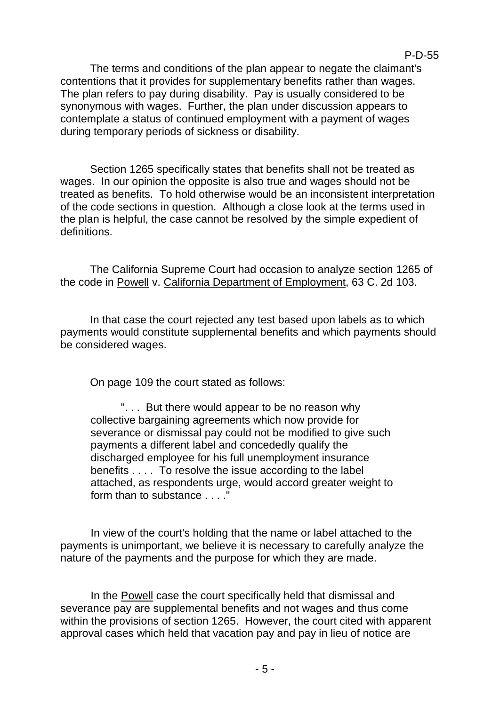The terms and conditions of the plan appear to negate the claimant's contentions that it provides for supplementary benefits rather than wages. The plan refers to pay during disability. Pay is usually considered to be synonymous with wages. Further, the plan under discussion appears to contemplate a status of continued employment with a payment of wages during temporary periods of sickness or disability.

P-D-55

Section 1265 specifically states that benefits shall not be treated as wages. In our opinion the opposite is also true and wages should not be treated as benefits. To hold otherwise would be an inconsistent interpretation of the code sections in question. Although a close look at the terms used in the plan is helpful, the case cannot be resolved by the simple expedient of definitions.

The California Supreme Court had occasion to analyze section 1265 of the code in Powell v. California Department of Employment, 63 C. 2d 103.

In that case the court rejected any test based upon labels as to which payments would constitute supplemental benefits and which payments should be considered wages.

On page 109 the court stated as follows:

". . . But there would appear to be no reason why collective bargaining agreements which now provide for severance or dismissal pay could not be modified to give such payments a different label and concededly qualify the discharged employee for his full unemployment insurance benefits . . . . To resolve the issue according to the label attached, as respondents urge, would accord greater weight to form than to substance . . . ."

In view of the court's holding that the name or label attached to the payments is unimportant, we believe it is necessary to carefully analyze the nature of the payments and the purpose for which they are made.

In the Powell case the court specifically held that dismissal and severance pay are supplemental benefits and not wages and thus come within the provisions of section 1265. However, the court cited with apparent approval cases which held that vacation pay and pay in lieu of notice are

- 5 -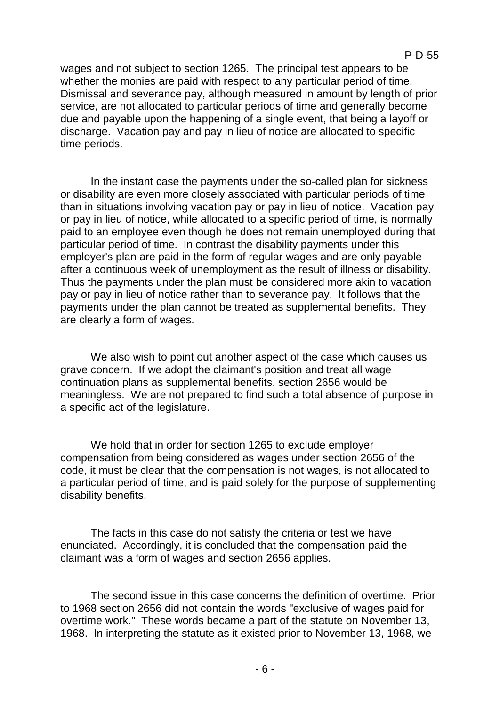wages and not subject to section 1265. The principal test appears to be whether the monies are paid with respect to any particular period of time. Dismissal and severance pay, although measured in amount by length of prior service, are not allocated to particular periods of time and generally become due and payable upon the happening of a single event, that being a layoff or discharge. Vacation pay and pay in lieu of notice are allocated to specific time periods.

In the instant case the payments under the so-called plan for sickness or disability are even more closely associated with particular periods of time than in situations involving vacation pay or pay in lieu of notice. Vacation pay or pay in lieu of notice, while allocated to a specific period of time, is normally paid to an employee even though he does not remain unemployed during that particular period of time. In contrast the disability payments under this employer's plan are paid in the form of regular wages and are only payable after a continuous week of unemployment as the result of illness or disability. Thus the payments under the plan must be considered more akin to vacation pay or pay in lieu of notice rather than to severance pay. It follows that the payments under the plan cannot be treated as supplemental benefits. They are clearly a form of wages.

We also wish to point out another aspect of the case which causes us grave concern. If we adopt the claimant's position and treat all wage continuation plans as supplemental benefits, section 2656 would be meaningless. We are not prepared to find such a total absence of purpose in a specific act of the legislature.

We hold that in order for section 1265 to exclude employer compensation from being considered as wages under section 2656 of the code, it must be clear that the compensation is not wages, is not allocated to a particular period of time, and is paid solely for the purpose of supplementing disability benefits.

The facts in this case do not satisfy the criteria or test we have enunciated. Accordingly, it is concluded that the compensation paid the claimant was a form of wages and section 2656 applies.

The second issue in this case concerns the definition of overtime. Prior to 1968 section 2656 did not contain the words "exclusive of wages paid for overtime work." These words became a part of the statute on November 13, 1968. In interpreting the statute as it existed prior to November 13, 1968, we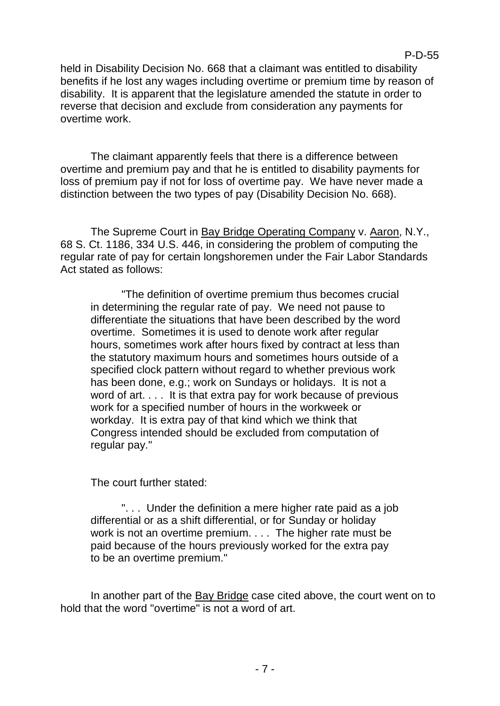held in Disability Decision No. 668 that a claimant was entitled to disability benefits if he lost any wages including overtime or premium time by reason of disability. It is apparent that the legislature amended the statute in order to reverse that decision and exclude from consideration any payments for

The claimant apparently feels that there is a difference between overtime and premium pay and that he is entitled to disability payments for loss of premium pay if not for loss of overtime pay. We have never made a distinction between the two types of pay (Disability Decision No. 668).

The Supreme Court in Bay Bridge Operating Company v. Aaron, N.Y., 68 S. Ct. 1186, 334 U.S. 446, in considering the problem of computing the regular rate of pay for certain longshoremen under the Fair Labor Standards Act stated as follows:

"The definition of overtime premium thus becomes crucial in determining the regular rate of pay. We need not pause to differentiate the situations that have been described by the word overtime. Sometimes it is used to denote work after regular hours, sometimes work after hours fixed by contract at less than the statutory maximum hours and sometimes hours outside of a specified clock pattern without regard to whether previous work has been done, e.g.; work on Sundays or holidays. It is not a word of art. . . . It is that extra pay for work because of previous work for a specified number of hours in the workweek or workday. It is extra pay of that kind which we think that Congress intended should be excluded from computation of regular pay."

The court further stated:

overtime work.

". . . Under the definition a mere higher rate paid as a job differential or as a shift differential, or for Sunday or holiday work is not an overtime premium. . . . The higher rate must be paid because of the hours previously worked for the extra pay to be an overtime premium."

In another part of the Bay Bridge case cited above, the court went on to hold that the word "overtime" is not a word of art.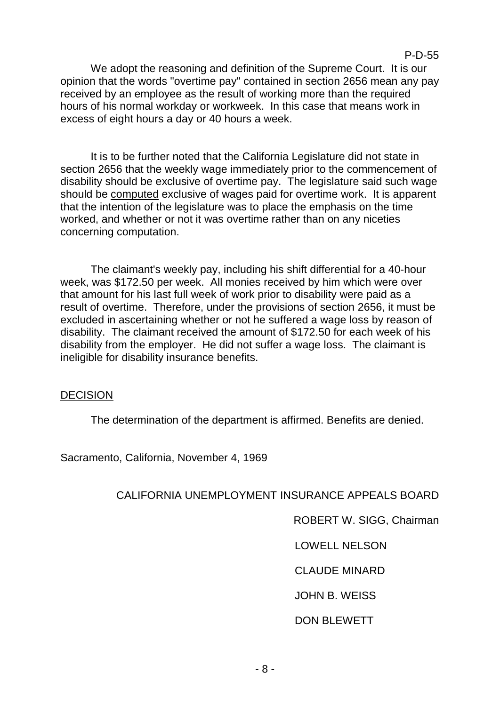We adopt the reasoning and definition of the Supreme Court. It is our opinion that the words "overtime pay" contained in section 2656 mean any pay received by an employee as the result of working more than the required hours of his normal workday or workweek. In this case that means work in excess of eight hours a day or 40 hours a week.

It is to be further noted that the California Legislature did not state in section 2656 that the weekly wage immediately prior to the commencement of disability should be exclusive of overtime pay. The legislature said such wage should be computed exclusive of wages paid for overtime work. It is apparent that the intention of the legislature was to place the emphasis on the time worked, and whether or not it was overtime rather than on any niceties concerning computation.

The claimant's weekly pay, including his shift differential for a 40-hour week, was \$172.50 per week. All monies received by him which were over that amount for his last full week of work prior to disability were paid as a result of overtime. Therefore, under the provisions of section 2656, it must be excluded in ascertaining whether or not he suffered a wage loss by reason of disability. The claimant received the amount of \$172.50 for each week of his disability from the employer. He did not suffer a wage loss. The claimant is ineligible for disability insurance benefits.

### **DECISION**

The determination of the department is affirmed. Benefits are denied.

Sacramento, California, November 4, 1969

# CALIFORNIA UNEMPLOYMENT INSURANCE APPEALS BOARD

ROBERT W. SIGG, Chairman

P-D-55

LOWELL NELSON

CLAUDE MINARD

JOHN B. WEISS

DON BLEWETT